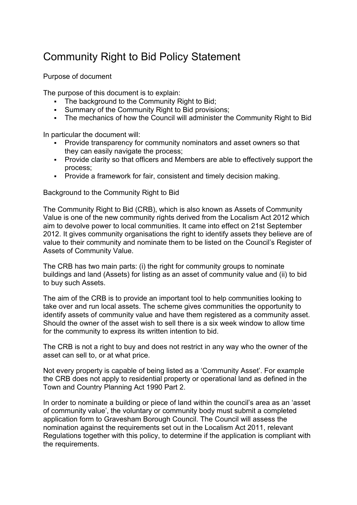# Community Right to Bid Policy Statement

Purpose of document

The purpose of this document is to explain:

- The background to the Community Right to Bid;
- Summary of the Community Right to Bid provisions;
- The mechanics of how the Council will administer the Community Right to Bid

In particular the document will:

- Provide transparency for community nominators and asset owners so that they can easily navigate the process;
- Provide clarity so that officers and Members are able to effectively support the process;
- Provide a framework for fair, consistent and timely decision making.

Background to the Community Right to Bid

The Community Right to Bid (CRB), which is also known as Assets of Community Value is one of the new community rights derived from the Localism Act 2012 which aim to devolve power to local communities. It came into effect on 21st September 2012. It gives community organisations the right to identify assets they believe are of value to their community and nominate them to be listed on the Council's Register of Assets of Community Value.

The CRB has two main parts: (i) the right for community groups to nominate buildings and land (Assets) for listing as an asset of community value and (ii) to bid to buy such Assets.

The aim of the CRB is to provide an important tool to help communities looking to take over and run local assets. The scheme gives communities the opportunity to identify assets of community value and have them registered as a community asset. Should the owner of the asset wish to sell there is a six week window to allow time for the community to express its written intention to bid.

The CRB is not a right to buy and does not restrict in any way who the owner of the asset can sell to, or at what price.

Not every property is capable of being listed as a 'Community Asset'. For example the CRB does not apply to residential property or operational land as defined in the Town and Country Planning Act 1990 Part 2.

In order to nominate a building or piece of land within the council's area as an 'asset of community value', the voluntary or community body must submit a completed application form to Gravesham Borough Council. The Council will assess the nomination against the requirements set out in the Localism Act 2011, relevant Regulations together with this policy, to determine if the application is compliant with the requirements.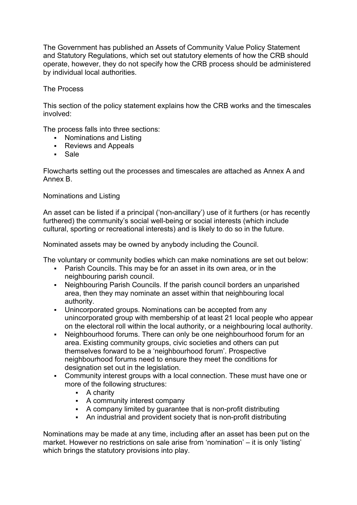The Government has published an Assets of Community Value Policy Statement and Statutory Regulations, which set out statutory elements of how the CRB should operate, however, they do not specify how the CRB process should be administered by individual local authorities.

# The Process

This section of the policy statement explains how the CRB works and the timescales involved:

The process falls into three sections:

- **Nominations and Listing**
- **Reviews and Appeals**
- Sale

Flowcharts setting out the processes and timescales are attached as Annex A and Annex B.

# Nominations and Listing

An asset can be listed if a principal ('non-ancillary') use of it furthers (or has recently furthered) the community's social well-being or social interests (which include cultural, sporting or recreational interests) and is likely to do so in the future.

Nominated assets may be owned by anybody including the Council.

The voluntary or community bodies which can make nominations are set out below:

- Parish Councils. This may be for an asset in its own area, or in the neighbouring parish council.
- Neighbouring Parish Councils. If the parish council borders an unparished area, then they may nominate an asset within that neighbouring local authority.
- Unincorporated groups. Nominations can be accepted from any unincorporated group with membership of at least 21 local people who appear on the electoral roll within the local authority, or a neighbouring local authority.
- Neighbourhood forums. There can only be one neighbourhood forum for an area. Existing community groups, civic societies and others can put themselves forward to be a 'neighbourhood forum'. Prospective neighbourhood forums need to ensure they meet the conditions for designation set out in the legislation.
- Community interest groups with a local connection. These must have one or more of the following structures:
	- A charity
	- A community interest company
	- A company limited by guarantee that is non-profit distributing
	- An industrial and provident society that is non-profit distributing

Nominations may be made at any time, including after an asset has been put on the market. However no restrictions on sale arise from 'nomination' – it is only 'listing' which brings the statutory provisions into play.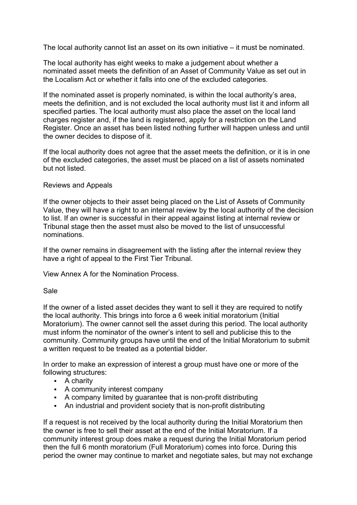The local authority cannot list an asset on its own initiative – it must be nominated.

The local authority has eight weeks to make a judgement about whether a nominated asset meets the definition of an Asset of Community Value as set out in the Localism Act or whether it falls into one of the excluded categories.

If the nominated asset is properly nominated, is within the local authority's area, meets the definition, and is not excluded the local authority must list it and inform all specified parties. The local authority must also place the asset on the local land charges register and, if the land is registered, apply for a restriction on the Land Register. Once an asset has been listed nothing further will happen unless and until the owner decides to dispose of it.

If the local authority does not agree that the asset meets the definition, or it is in one of the excluded categories, the asset must be placed on a list of assets nominated but not listed.

## Reviews and Appeals

If the owner objects to their asset being placed on the List of Assets of Community Value, they will have a right to an internal review by the local authority of the decision to list. If an owner is successful in their appeal against listing at internal review or Tribunal stage then the asset must also be moved to the list of unsuccessful nominations.

If the owner remains in disagreement with the listing after the internal review they have a right of appeal to the First Tier Tribunal.

View Annex A for the Nomination Process.

#### Sale

If the owner of a listed asset decides they want to sell it they are required to notify the local authority. This brings into force a 6 week initial moratorium (Initial Moratorium). The owner cannot sell the asset during this period. The local authority must inform the nominator of the owner's intent to sell and publicise this to the community. Community groups have until the end of the Initial Moratorium to submit a written request to be treated as a potential bidder.

In order to make an expression of interest a group must have one or more of the following structures:

- A charity
- A community interest company
- A company limited by guarantee that is non-profit distributing
- An industrial and provident society that is non-profit distributing

If a request is not received by the local authority during the Initial Moratorium then the owner is free to sell their asset at the end of the Initial Moratorium. If a community interest group does make a request during the Initial Moratorium period then the full 6 month moratorium (Full Moratorium) comes into force. During this period the owner may continue to market and negotiate sales, but may not exchange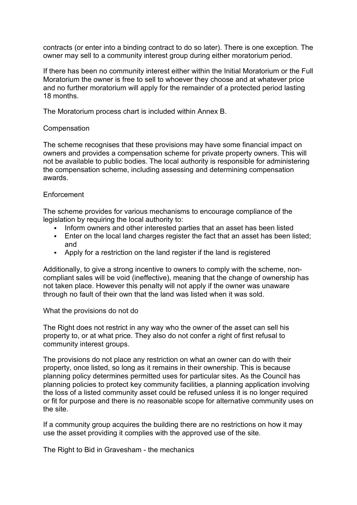contracts (or enter into a binding contract to do so later). There is one exception. The owner may sell to a community interest group during either moratorium period.

If there has been no community interest either within the Initial Moratorium or the Full Moratorium the owner is free to sell to whoever they choose and at whatever price and no further moratorium will apply for the remainder of a protected period lasting 18 months.

The Moratorium process chart is included within Annex B.

## **Compensation**

The scheme recognises that these provisions may have some financial impact on owners and provides a compensation scheme for private property owners. This will not be available to public bodies. The local authority is responsible for administering the compensation scheme, including assessing and determining compensation awards.

## Enforcement

The scheme provides for various mechanisms to encourage compliance of the legislation by requiring the local authority to:

- Inform owners and other interested parties that an asset has been listed
- **Enter on the local land charges register the fact that an asset has been listed;** and
- Apply for a restriction on the land register if the land is registered

Additionally, to give a strong incentive to owners to comply with the scheme, noncompliant sales will be void (ineffective), meaning that the change of ownership has not taken place. However this penalty will not apply if the owner was unaware through no fault of their own that the land was listed when it was sold.

What the provisions do not do

The Right does not restrict in any way who the owner of the asset can sell his property to, or at what price. They also do not confer a right of first refusal to community interest groups.

The provisions do not place any restriction on what an owner can do with their property, once listed, so long as it remains in their ownership. This is because planning policy determines permitted uses for particular sites. As the Council has planning policies to protect key community facilities, a planning application involving the loss of a listed community asset could be refused unless it is no longer required or fit for purpose and there is no reasonable scope for alternative community uses on the site.

If a community group acquires the building there are no restrictions on how it may use the asset providing it complies with the approved use of the site.

The Right to Bid in Gravesham - the mechanics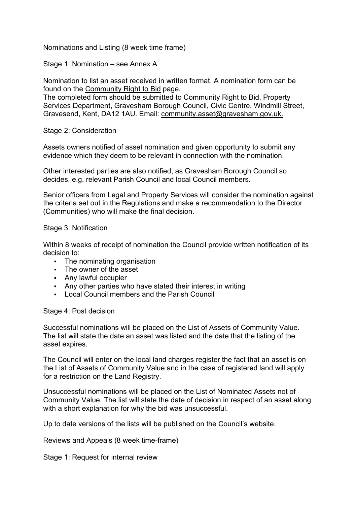Nominations and Listing (8 week time frame)

Stage 1: Nomination – see Annex A

Nomination to list an asset received in written format. A nomination form can be found on the [Community Right to Bid](https://www.gravesham.gov.uk/home/community-and-leisure/community-powers/community-right-to-bid) page.

The completed form should be submitted to Community Right to Bid, Property Services Department, Gravesham Borough Council, Civic Centre, Windmill Street, Gravesend, Kent, DA12 1AU. Email: [community.asset@gravesham.gov.uk.](mailto:community.asset@gravesham.gov.uk)

Stage 2: Consideration

Assets owners notified of asset nomination and given opportunity to submit any evidence which they deem to be relevant in connection with the nomination.

Other interested parties are also notified, as Gravesham Borough Council so decides, e.g. relevant Parish Council and local Council members.

Senior officers from Legal and Property Services will consider the nomination against the criteria set out in the Regulations and make a recommendation to the Director (Communities) who will make the final decision.

## Stage 3: Notification

Within 8 weeks of receipt of nomination the Council provide written notification of its decision to:

- The nominating organisation
- The owner of the asset
- Any lawful occupier
- Any other parties who have stated their interest in writing
- Local Council members and the Parish Council

Stage 4: Post decision

Successful nominations will be placed on the List of Assets of Community Value. The list will state the date an asset was listed and the date that the listing of the asset expires.

The Council will enter on the local land charges register the fact that an asset is on the List of Assets of Community Value and in the case of registered land will apply for a restriction on the Land Registry.

Unsuccessful nominations will be placed on the List of Nominated Assets not of Community Value. The list will state the date of decision in respect of an asset along with a short explanation for why the bid was unsuccessful.

Up to date versions of the lists will be published on the Council's website.

Reviews and Appeals (8 week time-frame)

Stage 1: Request for internal review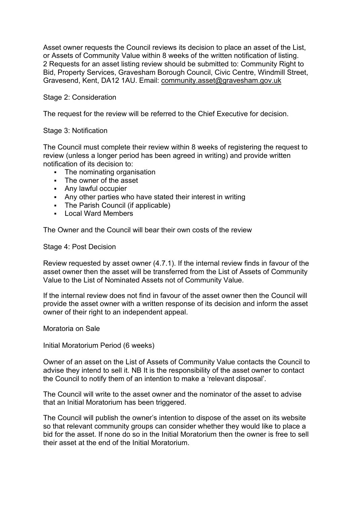Asset owner requests the Council reviews its decision to place an asset of the List, or Assets of Community Value within 8 weeks of the written notification of listing. 2 Requests for an asset listing review should be submitted to: Community Right to Bid, Property Services, Gravesham Borough Council, Civic Centre, Windmill Street, Gravesend, Kent, DA12 1AU. Email: [community.asset@gravesham.gov.uk](mailto:community.asset@gravesham.gov.uk)

## Stage 2: Consideration

The request for the review will be referred to the Chief Executive for decision.

## Stage 3: Notification

The Council must complete their review within 8 weeks of registering the request to review (unless a longer period has been agreed in writing) and provide written notification of its decision to:

- The nominating organisation
- The owner of the asset
- Any lawful occupier
- Any other parties who have stated their interest in writing
- The Parish Council (if applicable)
- **Local Ward Members**

The Owner and the Council will bear their own costs of the review

Stage 4: Post Decision

Review requested by asset owner (4.7.1). If the internal review finds in favour of the asset owner then the asset will be transferred from the List of Assets of Community Value to the List of Nominated Assets not of Community Value.

If the internal review does not find in favour of the asset owner then the Council will provide the asset owner with a written response of its decision and inform the asset owner of their right to an independent appeal.

Moratoria on Sale

Initial Moratorium Period (6 weeks)

Owner of an asset on the List of Assets of Community Value contacts the Council to advise they intend to sell it. NB It is the responsibility of the asset owner to contact the Council to notify them of an intention to make a 'relevant disposal'.

The Council will write to the asset owner and the nominator of the asset to advise that an Initial Moratorium has been triggered.

The Council will publish the owner's intention to dispose of the asset on its website so that relevant community groups can consider whether they would like to place a bid for the asset. If none do so in the Initial Moratorium then the owner is free to sell their asset at the end of the Initial Moratorium.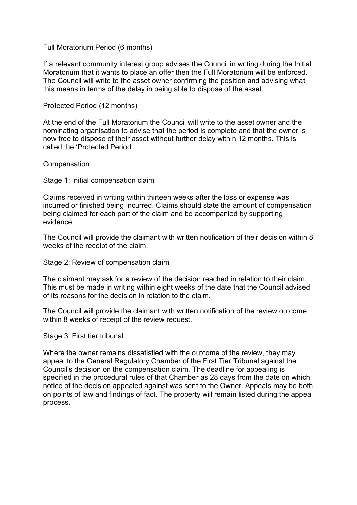## Full Moratorium Period (6 months)

If a relevant community interest group advises the Council in writing during the Initial Moratorium that it wants to place an offer then the Full Moratorium will be enforced. The Council will write to the asset owner confirming the position and advising what this means in terms of the delay in being able to dispose of the asset.

## Protected Period (12 months)

At the end of the Full Moratorium the Council will write to the asset owner and the nominating organisation to advise that the period is complete and that the owner is now free to dispose of their asset without further delay within 12 months. This is called the 'Protected Period'.

#### **Compensation**

Stage 1: Initial compensation claim

Claims received in writing within thirteen weeks after the loss or expense was incurred or finished being incurred. Claims should state the amount of compensation being claimed for each part of the claim and be accompanied by supporting evidence.

The Council will provide the claimant with written notification of their decision within 8 weeks of the receipt of the claim.

Stage 2: Review of compensation claim

The claimant may ask for a review of the decision reached in relation to their claim. This must be made in writing within eight weeks of the date that the Council advised of its reasons for the decision in relation to the claim.

The Council will provide the claimant with written notification of the review outcome within 8 weeks of receipt of the review request.

#### Stage 3: First tier tribunal

Where the owner remains dissatisfied with the outcome of the review, they may appeal to the General Regulatory Chamber of the First Tier Tribunal against the Council's decision on the compensation claim. The deadline for appealing is specified in the procedural rules of that Chamber as 28 days from the date on which notice of the decision appealed against was sent to the Owner. Appeals may be both on points of law and findings of fact. The property will remain listed during the appeal process.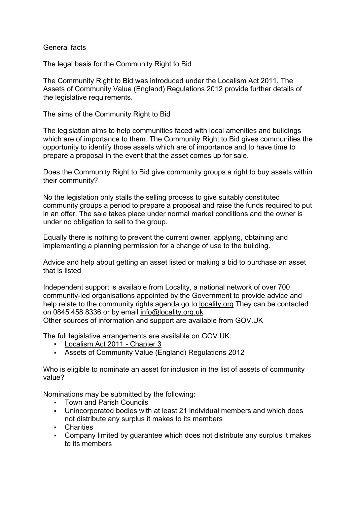## General facts

The legal basis for the Community Right to Bid

The Community Right to Bid was introduced under the Localism Act 2011. The Assets of Community Value (England) Regulations 2012 provide further details of the legislative requirements.

The aims of the Community Right to Bid

The legislation aims to help communities faced with local amenities and buildings which are of importance to them. The Community Right to Bid gives communities the opportunity to identify those assets which are of importance and to have time to prepare a proposal in the event that the asset comes up for sale.

Does the Community Right to Bid give community groups a right to buy assets within their community?

No the legislation only stalls the selling process to give suitably constituted community groups a period to prepare a proposal and raise the funds required to put in an offer. The sale takes place under normal market conditions and the owner is under no obligation to sell to the group.

Equally there is nothing to prevent the current owner, applying, obtaining and implementing a planning permission for a change of use to the building.

Advice and help about getting an asset listed or making a bid to purchase an asset that is listed

Independent support is available from Locality, a national network of over 700 community-led organisations appointed by the Government to provide advice and help relate to the community rights agenda go to [locality.org](http://www.locality.org.uk/) They can be contacted on 0845 458 8336 or by email [info@locality.org.uk](mailto:info@locality.org.uk) Other sources of information and support are available from [GOV.UK](https://www.gov.uk/government/publications/youve-got-the-power-a-quick-and-simple-guide-to-community-rights/youve-got-the-power-a-quick-and-simple-guide-to-community-rights)

The full legislative arrangements are available on GOV.UK:

- [Localism Act 2011 -](http://www.legislation.gov.uk/ukpga/2011/20/part/5/chapter/3) Chapter 3
- [Assets of Community Value \(England\) Regulations 2012](http://www.legislation.gov.uk/uksi/2012/2421/contents/made)

Who is eligible to nominate an asset for inclusion in the list of assets of community value?

Nominations may be submitted by the following:

- **Town and Parish Councils**
- Unincorporated bodies with at least 21 individual members and which does not distribute any surplus it makes to its members
- **Charities**
- Company limited by guarantee which does not distribute any surplus it makes to its members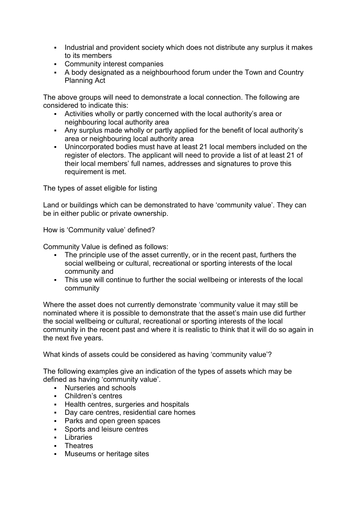- Industrial and provident society which does not distribute any surplus it makes to its members
- Community interest companies
- A body designated as a neighbourhood forum under the Town and Country Planning Act

The above groups will need to demonstrate a local connection. The following are considered to indicate this:

- Activities wholly or partly concerned with the local authority's area or neighbouring local authority area
- Any surplus made wholly or partly applied for the benefit of local authority's area or neighbouring local authority area
- Unincorporated bodies must have at least 21 local members included on the register of electors. The applicant will need to provide a list of at least 21 of their local members' full names, addresses and signatures to prove this requirement is met.

The types of asset eligible for listing

Land or buildings which can be demonstrated to have 'community value'. They can be in either public or private ownership.

How is 'Community value' defined?

Community Value is defined as follows:

- The principle use of the asset currently, or in the recent past, furthers the social wellbeing or cultural, recreational or sporting interests of the local community and
- This use will continue to further the social wellbeing or interests of the local community

Where the asset does not currently demonstrate 'community value it may still be nominated where it is possible to demonstrate that the asset's main use did further the social wellbeing or cultural, recreational or sporting interests of the local community in the recent past and where it is realistic to think that it will do so again in the next five years.

What kinds of assets could be considered as having 'community value'?

The following examples give an indication of the types of assets which may be defined as having 'community value'.

- **Nurseries and schools**
- Children's centres
- **Health centres, surgeries and hospitals**
- Day care centres, residential care homes
- **Parks and open green spaces**
- Sports and leisure centres
- $\blacksquare$  Libraries
- Theatres
- **Museums or heritage sites**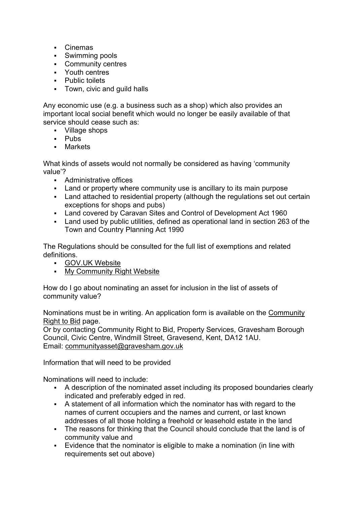- Cinemas
- **Swimming pools**
- Community centres
- Youth centres
- Public toilets
- Town, civic and guild halls

Any economic use (e.g. a business such as a shop) which also provides an important local social benefit which would no longer be easily available of that service should cease such as:

- Village shops
- **-** Pubs
- Markets

What kinds of assets would not normally be considered as having 'community value'?

- **Administrative offices**
- Land or property where community use is ancillary to its main purpose
- Land attached to residential property (although the regulations set out certain exceptions for shops and pubs)
- Land covered by Caravan Sites and Control of Development Act 1960
- Land used by public utilities, defined as operational land in section 263 of the Town and Country Planning Act 1990

The Regulations should be consulted for the full list of exemptions and related definitions.

- [GOV.UK Website](http://www.legislation.gov.uk/ukpga/2011/20/contents/enacted)
- [My Community Right Website](https://mycommunity.org.uk/)

How do I go about nominating an asset for inclusion in the list of assets of community value?

Nominations must be in writing. An application form is available on the [Community](https://www.gravesham.gov.uk/home/community-and-leisure/community-powers/community-right-to-bid)  [Right to Bid](https://www.gravesham.gov.uk/home/community-and-leisure/community-powers/community-right-to-bid) page.

Or by contacting Community Right to Bid, Property Services, Gravesham Borough Council, Civic Centre, Windmill Street, Gravesend, Kent, DA12 1AU. Email: [communityasset@gravesham.gov.uk](mailto:communityasset@gravesham.gov.uk)

Information that will need to be provided

Nominations will need to include:

- A description of the nominated asset including its proposed boundaries clearly indicated and preferably edged in red.
- A statement of all information which the nominator has with regard to the names of current occupiers and the names and current, or last known addresses of all those holding a freehold or leasehold estate in the land
- The reasons for thinking that the Council should conclude that the land is of community value and
- Evidence that the nominator is eligible to make a nomination (in line with requirements set out above)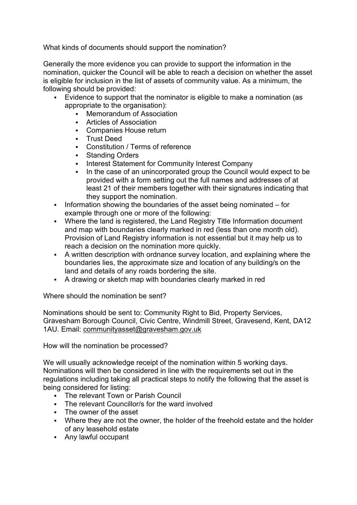What kinds of documents should support the nomination?

Generally the more evidence you can provide to support the information in the nomination, quicker the Council will be able to reach a decision on whether the asset is eligible for inclusion in the list of assets of community value. As a minimum, the following should be provided:

- Evidence to support that the nominator is eligible to make a nomination (as appropriate to the organisation):
	- Memorandum of Association
	- Articles of Association
	- Companies House return
	- **Trust Deed**
	- Constitution / Terms of reference
	- Standing Orders
	- **Interest Statement for Community Interest Company**
	- In the case of an unincorporated group the Council would expect to be provided with a form setting out the full names and addresses of at least 21 of their members together with their signatures indicating that they support the nomination.
- Information showing the boundaries of the asset being nominated  $-$  for example through one or more of the following:
- Where the land is registered, the Land Registry Title Information document and map with boundaries clearly marked in red (less than one month old). Provision of Land Registry information is not essential but it may help us to reach a decision on the nomination more quickly.
- A written description with ordnance survey location, and explaining where the boundaries lies, the approximate size and location of any building/s on the land and details of any roads bordering the site.
- A drawing or sketch map with boundaries clearly marked in red

Where should the nomination be sent?

Nominations should be sent to: Community Right to Bid, Property Services, Gravesham Borough Council, Civic Centre, Windmill Street, Gravesend, Kent, DA12 1AU. Email: [communityasset@gravesham.gov.uk](mailto:communityasset@gravesham.gov.uk)

How will the nomination be processed?

We will usually acknowledge receipt of the nomination within 5 working days. Nominations will then be considered in line with the requirements set out in the regulations including taking all practical steps to notify the following that the asset is being considered for listing:

- **The relevant Town or Parish Council**
- The relevant Councillor/s for the ward involved
- The owner of the asset
- Where they are not the owner, the holder of the freehold estate and the holder of any leasehold estate
- Any lawful occupant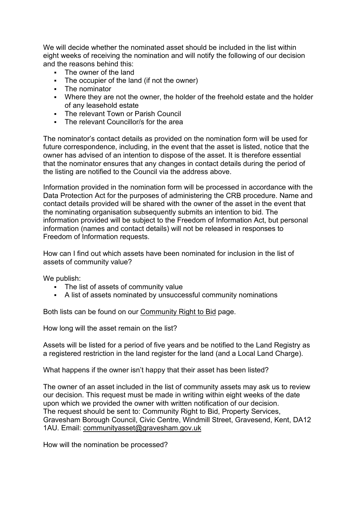We will decide whether the nominated asset should be included in the list within eight weeks of receiving the nomination and will notify the following of our decision and the reasons behind this:

- The owner of the land
- The occupier of the land (if not the owner)
- The nominator
- Where they are not the owner, the holder of the freehold estate and the holder of any leasehold estate
- **FILT** The relevant Town or Parish Council
- The relevant Councillor/s for the area

The nominator's contact details as provided on the nomination form will be used for future correspondence, including, in the event that the asset is listed, notice that the owner has advised of an intention to dispose of the asset. It is therefore essential that the nominator ensures that any changes in contact details during the period of the listing are notified to the Council via the address above.

Information provided in the nomination form will be processed in accordance with the Data Protection Act for the purposes of administering the CRB procedure. Name and contact details provided will be shared with the owner of the asset in the event that the nominating organisation subsequently submits an intention to bid. The information provided will be subject to the Freedom of Information Act, but personal information (names and contact details) will not be released in responses to Freedom of Information requests.

How can I find out which assets have been nominated for inclusion in the list of assets of community value?

We publish:

- The list of assets of community value
- A list of assets nominated by unsuccessful community nominations

Both lists can be found on our [Community Right to Bid](https://www.gravesham.gov.uk/home/community-and-leisure/community-powers/community-right-to-bid) page.

How long will the asset remain on the list?

Assets will be listed for a period of five years and be notified to the Land Registry as a registered restriction in the land register for the land (and a Local Land Charge).

What happens if the owner isn't happy that their asset has been listed?

The owner of an asset included in the list of community assets may ask us to review our decision. This request must be made in writing within eight weeks of the date upon which we provided the owner with written notification of our decision. The request should be sent to: Community Right to Bid, Property Services, Gravesham Borough Council, Civic Centre, Windmill Street, Gravesend, Kent, DA12 1AU. Email: [communityasset@gravesham.gov.uk](mailto:communityasset@gravesham.gov.uk)

How will the nomination be processed?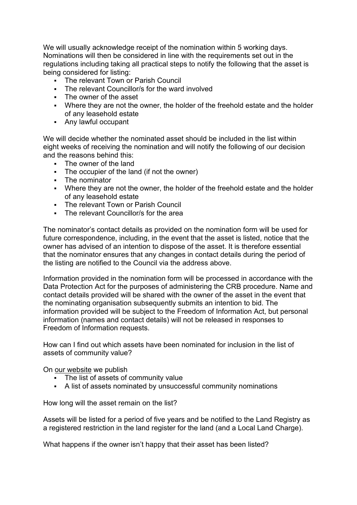We will usually acknowledge receipt of the nomination within 5 working days. Nominations will then be considered in line with the requirements set out in the regulations including taking all practical steps to notify the following that the asset is being considered for listing:

- The relevant Town or Parish Council
- The relevant Councillor/s for the ward involved
- The owner of the asset
- Where they are not the owner, the holder of the freehold estate and the holder of any leasehold estate
- Any lawful occupant

We will decide whether the nominated asset should be included in the list within eight weeks of receiving the nomination and will notify the following of our decision and the reasons behind this:

- **The owner of the land**
- The occupier of the land (if not the owner)
- The nominator
- Where they are not the owner, the holder of the freehold estate and the holder of any leasehold estate
- The relevant Town or Parish Council
- The relevant Councillor/s for the area

The nominator's contact details as provided on the nomination form will be used for future correspondence, including, in the event that the asset is listed, notice that the owner has advised of an intention to dispose of the asset. It is therefore essential that the nominator ensures that any changes in contact details during the period of the listing are notified to the Council via the address above.

Information provided in the nomination form will be processed in accordance with the Data Protection Act for the purposes of administering the CRB procedure. Name and contact details provided will be shared with the owner of the asset in the event that the nominating organisation subsequently submits an intention to bid. The information provided will be subject to the Freedom of Information Act, but personal information (names and contact details) will not be released in responses to Freedom of Information requests.

How can I find out which assets have been nominated for inclusion in the list of assets of community value?

On [our website](http://www.gravesham.gov.uk/) we publish

- The list of assets of community value
- A list of assets nominated by unsuccessful community nominations

How long will the asset remain on the list?

Assets will be listed for a period of five years and be notified to the Land Registry as a registered restriction in the land register for the land (and a Local Land Charge).

What happens if the owner isn't happy that their asset has been listed?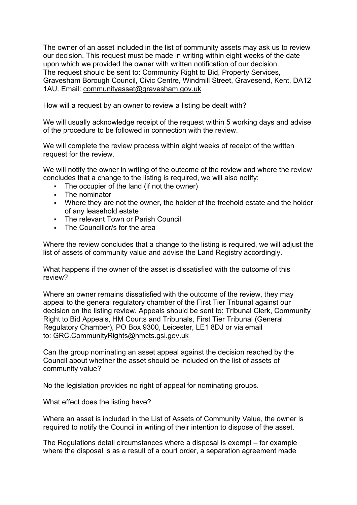The owner of an asset included in the list of community assets may ask us to review our decision. This request must be made in writing within eight weeks of the date upon which we provided the owner with written notification of our decision. The request should be sent to: Community Right to Bid, Property Services, Gravesham Borough Council, Civic Centre, Windmill Street, Gravesend, Kent, DA12 1AU. Email: [communityasset@gravesham.gov.uk](mailto:communityasset@gravesham.gov.uk)

How will a request by an owner to review a listing be dealt with?

We will usually acknowledge receipt of the request within 5 working days and advise of the procedure to be followed in connection with the review.

We will complete the review process within eight weeks of receipt of the written request for the review.

We will notify the owner in writing of the outcome of the review and where the review concludes that a change to the listing is required, we will also notify:

- The occupier of the land (if not the owner)
- The nominator
- Where they are not the owner, the holder of the freehold estate and the holder of any leasehold estate
- The relevant Town or Parish Council
- **The Councillor/s for the area**

Where the review concludes that a change to the listing is required, we will adjust the list of assets of community value and advise the Land Registry accordingly.

What happens if the owner of the asset is dissatisfied with the outcome of this review?

Where an owner remains dissatisfied with the outcome of the review, they may appeal to the general regulatory chamber of the First Tier Tribunal against our decision on the listing review. Appeals should be sent to: Tribunal Clerk, Community Right to Bid Appeals, HM Courts and Tribunals, First Tier Tribunal (General Regulatory Chamber), PO Box 9300, Leicester, LE1 8DJ or via email to: [GRC.CommunityRights@hmcts.gsi.gov.uk](mailto:GRC.CommunityRights@hmcts.gsi.gov.uk)

Can the group nominating an asset appeal against the decision reached by the Council about whether the asset should be included on the list of assets of community value?

No the legislation provides no right of appeal for nominating groups.

What effect does the listing have?

Where an asset is included in the List of Assets of Community Value, the owner is required to notify the Council in writing of their intention to dispose of the asset.

The Regulations detail circumstances where a disposal is exempt – for example where the disposal is as a result of a court order, a separation agreement made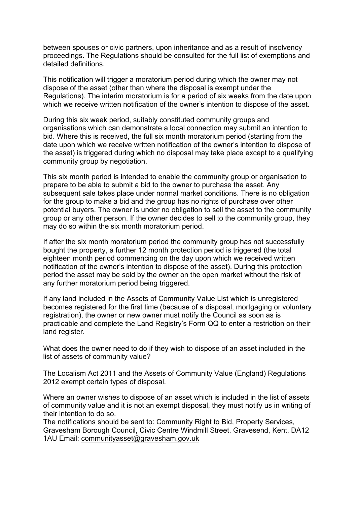between spouses or civic partners, upon inheritance and as a result of insolvency proceedings. The Regulations should be consulted for the full list of exemptions and detailed definitions.

This notification will trigger a moratorium period during which the owner may not dispose of the asset (other than where the disposal is exempt under the Regulations). The interim moratorium is for a period of six weeks from the date upon which we receive written notification of the owner's intention to dispose of the asset.

During this six week period, suitably constituted community groups and organisations which can demonstrate a local connection may submit an intention to bid. Where this is received, the full six month moratorium period (starting from the date upon which we receive written notification of the owner's intention to dispose of the asset) is triggered during which no disposal may take place except to a qualifying community group by negotiation.

This six month period is intended to enable the community group or organisation to prepare to be able to submit a bid to the owner to purchase the asset. Any subsequent sale takes place under normal market conditions. There is no obligation for the group to make a bid and the group has no rights of purchase over other potential buyers. The owner is under no obligation to sell the asset to the community group or any other person. If the owner decides to sell to the community group, they may do so within the six month moratorium period.

If after the six month moratorium period the community group has not successfully bought the property, a further 12 month protection period is triggered (the total eighteen month period commencing on the day upon which we received written notification of the owner's intention to dispose of the asset). During this protection period the asset may be sold by the owner on the open market without the risk of any further moratorium period being triggered.

If any land included in the Assets of Community Value List which is unregistered becomes registered for the first time (because of a disposal, mortgaging or voluntary registration), the owner or new owner must notify the Council as soon as is practicable and complete the Land Registry's Form QQ to enter a restriction on their land register.

What does the owner need to do if they wish to dispose of an asset included in the list of assets of community value?

The Localism Act 2011 and the Assets of Community Value (England) Regulations 2012 exempt certain types of disposal.

Where an owner wishes to dispose of an asset which is included in the list of assets of community value and it is not an exempt disposal, they must notify us in writing of their intention to do so.

The notifications should be sent to: Community Right to Bid, Property Services, Gravesham Borough Council, Civic Centre Windmill Street, Gravesend, Kent, DA12 1AU Email: [communityasset@gravesham.gov.uk](mailto:communityasset@gravesham.gov.uk)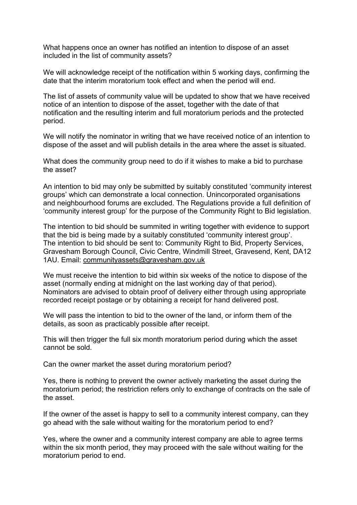What happens once an owner has notified an intention to dispose of an asset included in the list of community assets?

We will acknowledge receipt of the notification within 5 working days, confirming the date that the interim moratorium took effect and when the period will end.

The list of assets of community value will be updated to show that we have received notice of an intention to dispose of the asset, together with the date of that notification and the resulting interim and full moratorium periods and the protected period.

We will notify the nominator in writing that we have received notice of an intention to dispose of the asset and will publish details in the area where the asset is situated.

What does the community group need to do if it wishes to make a bid to purchase the asset?

An intention to bid may only be submitted by suitably constituted 'community interest groups' which can demonstrate a local connection. Unincorporated organisations and neighbourhood forums are excluded. The Regulations provide a full definition of 'community interest group' for the purpose of the Community Right to Bid legislation.

The intention to bid should be summited in writing together with evidence to support that the bid is being made by a suitably constituted 'community interest group'. The intention to bid should be sent to: Community Right to Bid, Property Services, Gravesham Borough Council, Civic Centre, Windmill Street, Gravesend, Kent, DA12 1AU. Email: [communityassets@gravesham.gov.uk](mailto:communityassets@gravesham.gov.uk)

We must receive the intention to bid within six weeks of the notice to dispose of the asset (normally ending at midnight on the last working day of that period). Nominators are advised to obtain proof of delivery either through using appropriate recorded receipt postage or by obtaining a receipt for hand delivered post.

We will pass the intention to bid to the owner of the land, or inform them of the details, as soon as practicably possible after receipt.

This will then trigger the full six month moratorium period during which the asset cannot be sold.

Can the owner market the asset during moratorium period?

Yes, there is nothing to prevent the owner actively marketing the asset during the moratorium period; the restriction refers only to exchange of contracts on the sale of the asset.

If the owner of the asset is happy to sell to a community interest company, can they go ahead with the sale without waiting for the moratorium period to end?

Yes, where the owner and a community interest company are able to agree terms within the six month period, they may proceed with the sale without waiting for the moratorium period to end.